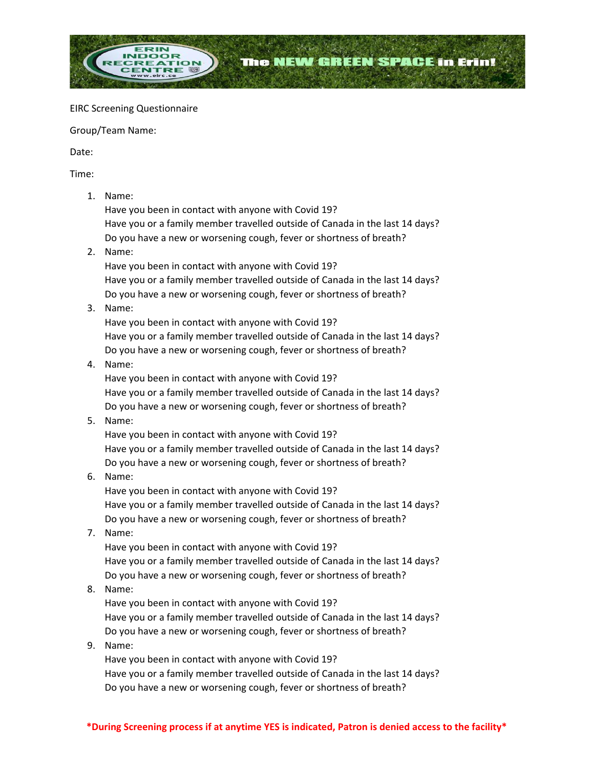

#### EIRC Screening Questionnaire

Group/Team Name:

Date:

Time:

1. Name:

Have you been in contact with anyone with Covid 19? Have you or a family member travelled outside of Canada in the last 14 days? Do you have a new or worsening cough, fever or shortness of breath?

2. Name:

Have you been in contact with anyone with Covid 19? Have you or a family member travelled outside of Canada in the last 14 days? Do you have a new or worsening cough, fever or shortness of breath?

3. Name:

Have you been in contact with anyone with Covid 19? Have you or a family member travelled outside of Canada in the last 14 days? Do you have a new or worsening cough, fever or shortness of breath?

4. Name:

Have you been in contact with anyone with Covid 19? Have you or a family member travelled outside of Canada in the last 14 days? Do you have a new or worsening cough, fever or shortness of breath?

5. Name:

Have you been in contact with anyone with Covid 19? Have you or a family member travelled outside of Canada in the last 14 days? Do you have a new or worsening cough, fever or shortness of breath?

6. Name:

Have you been in contact with anyone with Covid 19? Have you or a family member travelled outside of Canada in the last 14 days? Do you have a new or worsening cough, fever or shortness of breath?

7. Name:

Have you been in contact with anyone with Covid 19? Have you or a family member travelled outside of Canada in the last 14 days? Do you have a new or worsening cough, fever or shortness of breath?

8. Name:

Have you been in contact with anyone with Covid 19? Have you or a family member travelled outside of Canada in the last 14 days? Do you have a new or worsening cough, fever or shortness of breath?

## 9. Name:

Have you been in contact with anyone with Covid 19? Have you or a family member travelled outside of Canada in the last 14 days? Do you have a new or worsening cough, fever or shortness of breath?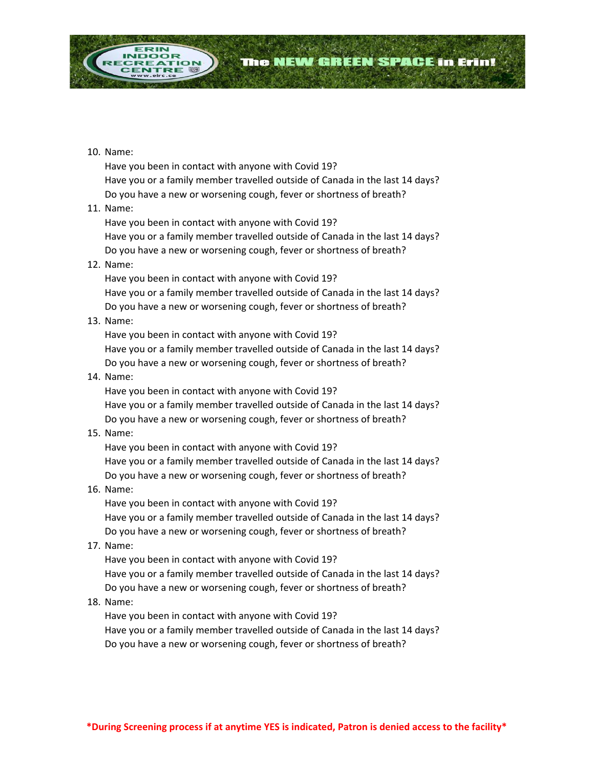

Have you been in contact with anyone with Covid 19? Have you or a family member travelled outside of Canada in the last 14 days? Do you have a new or worsening cough, fever or shortness of breath?

The NEW GREEN SPACE in Erin!

### 11. Name:

Have you been in contact with anyone with Covid 19? Have you or a family member travelled outside of Canada in the last 14 days? Do you have a new or worsening cough, fever or shortness of breath?

#### 12. Name:

Have you been in contact with anyone with Covid 19? Have you or a family member travelled outside of Canada in the last 14 days? Do you have a new or worsening cough, fever or shortness of breath?

### 13. Name:

Have you been in contact with anyone with Covid 19? Have you or a family member travelled outside of Canada in the last 14 days? Do you have a new or worsening cough, fever or shortness of breath?

#### 14. Name:

Have you been in contact with anyone with Covid 19? Have you or a family member travelled outside of Canada in the last 14 days? Do you have a new or worsening cough, fever or shortness of breath?

### 15. Name:

Have you been in contact with anyone with Covid 19? Have you or a family member travelled outside of Canada in the last 14 days? Do you have a new or worsening cough, fever or shortness of breath?

### 16. Name:

Have you been in contact with anyone with Covid 19? Have you or a family member travelled outside of Canada in the last 14 days? Do you have a new or worsening cough, fever or shortness of breath?

#### 17. Name:

Have you been in contact with anyone with Covid 19? Have you or a family member travelled outside of Canada in the last 14 days? Do you have a new or worsening cough, fever or shortness of breath?

#### 18. Name:

Have you been in contact with anyone with Covid 19? Have you or a family member travelled outside of Canada in the last 14 days? Do you have a new or worsening cough, fever or shortness of breath?